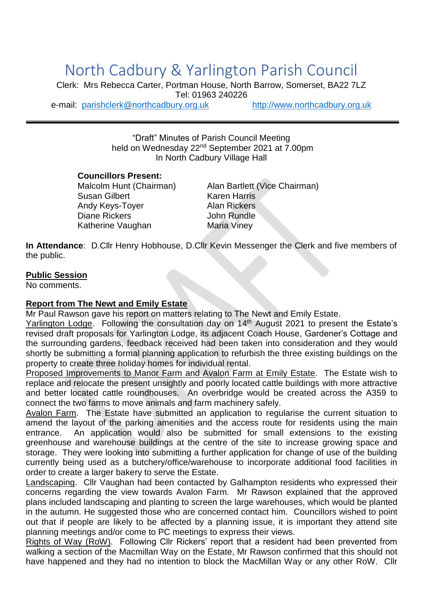# North Cadbury & Yarlington Parish Council

Clerk: Mrs Rebecca Carter, Portman House, North Barrow, Somerset, BA22 7LZ Tel: 01963 240226 e-mail: [parishclerk@northcadbury.org.uk](mailto:parishclerk@northcadbury.org.uk) [http://www.northcadbury.org.uk](http://www.northcadbury.org.uk/)

"Draft" Minutes of Parish Council Meeting held on Wednesday 22<sup>nd</sup> September 2021 at 7.00pm In North Cadbury Village Hall

#### **Councillors Present:**

Susan Gilbert Karen Harris Andy Keys-Toyer **Alan Rickers** Diane Rickers **John Rundle** Katherine Vaughan Maria Viney

Malcolm Hunt (Chairman) Alan Bartlett (Vice Chairman)

**In Attendance**: D.Cllr Henry Hobhouse, D.Cllr Kevin Messenger the Clerk and five members of the public.

#### **Public Session**

No comments.

#### **Report from The Newt and Emily Estate**

Mr Paul Rawson gave his report on matters relating to The Newt and Emily Estate.

Yarlington Lodge. Following the consultation day on 14<sup>th</sup> August 2021 to present the Estate's revised draft proposals for Yarlington Lodge, its adjacent Coach House, Gardener's Cottage and the surrounding gardens, feedback received had been taken into consideration and they would shortly be submitting a formal planning application to refurbish the three existing buildings on the property to create three holiday homes for individual rental.

Proposed Improvements to Manor Farm and Avalon Farm at Emily Estate. The Estate wish to replace and relocate the present unsightly and poorly located cattle buildings with more attractive and better located cattle roundhouses. An overbridge would be created across the A359 to connect the two farms to move animals and farm machinery safely.

Avalon Farm. The Estate have submitted an application to regularise the current situation to amend the layout of the parking amenities and the access route for residents using the main entrance. An application would also be submitted for small extensions to the existing greenhouse and warehouse buildings at the centre of the site to increase growing space and storage. They were looking into submitting a further application for change of use of the building currently being used as a butchery/office/warehouse to incorporate additional food facilities in order to create a larger bakery to serve the Estate.

Landscaping. Cllr Vaughan had been contacted by Galhampton residents who expressed their concerns regarding the view towards Avalon Farm. Mr Rawson explained that the approved plans included landscaping and planting to screen the large warehouses, which would be planted in the autumn. He suggested those who are concerned contact him. Councillors wished to point out that if people are likely to be affected by a planning issue, it is important they attend site planning meetings and/or come to PC meetings to express their views.

Rights of Way (RoW). Following Cllr Rickers' report that a resident had been prevented from walking a section of the Macmillan Way on the Estate, Mr Rawson confirmed that this should not have happened and they had no intention to block the MacMillan Way or any other RoW. Cllr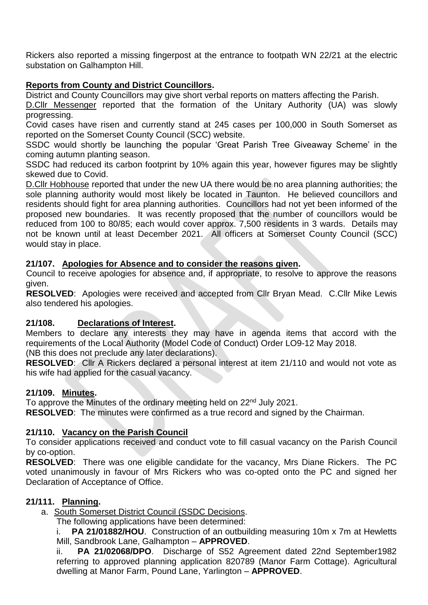Rickers also reported a missing fingerpost at the entrance to footpath WN 22/21 at the electric substation on Galhampton Hill.

## **Reports from County and District Councillors.**

District and County Councillors may give short verbal reports on matters affecting the Parish.

D.Cllr Messenger reported that the formation of the Unitary Authority (UA) was slowly progressing.

Covid cases have risen and currently stand at 245 cases per 100,000 in South Somerset as reported on the Somerset County Council (SCC) website.

SSDC would shortly be launching the popular 'Great Parish Tree Giveaway Scheme' in the coming autumn planting season.

SSDC had reduced its carbon footprint by 10% again this year, however figures may be slightly skewed due to Covid.

D. Cllr Hobhouse reported that under the new UA there would be no area planning authorities; the sole planning authority would most likely be located in Taunton. He believed councillors and residents should fight for area planning authorities. Councillors had not yet been informed of the proposed new boundaries. It was recently proposed that the number of councillors would be reduced from 100 to 80/85; each would cover approx. 7,500 residents in 3 wards. Details may not be known until at least December 2021. All officers at Somerset County Council (SCC) would stay in place.

## **21/107. Apologies for Absence and to consider the reasons given.**

Council to receive apologies for absence and, if appropriate, to resolve to approve the reasons given.

**RESOLVED**: Apologies were received and accepted from Cllr Bryan Mead. C.Cllr Mike Lewis also tendered his apologies.

## **21/108. Declarations of Interest.**

Members to declare any interests they may have in agenda items that accord with the requirements of the Local Authority (Model Code of Conduct) Order LO9-12 May 2018.

(NB this does not preclude any later declarations).

**RESOLVED**: Cllr A Rickers declared a personal interest at item 21/110 and would not vote as his wife had applied for the casual vacancy.

## **21/109. Minutes.**

To approve the Minutes of the ordinary meeting held on 22<sup>nd</sup> July 2021.

**RESOLVED**: The minutes were confirmed as a true record and signed by the Chairman.

## **21/110. Vacancy on the Parish Council**

To consider applications received and conduct vote to fill casual vacancy on the Parish Council by co-option.

**RESOLVED**: There was one eligible candidate for the vacancy, Mrs Diane Rickers. The PC voted unanimously in favour of Mrs Rickers who was co-opted onto the PC and signed her Declaration of Acceptance of Office.

## **21/111. Planning.**

a. South Somerset District Council (SSDC Decisions.

The following applications have been determined:

i. **PA 21/01882/HOU**. Construction of an outbuilding measuring 10m x 7m at Hewletts Mill, Sandbrook Lane, Galhampton – **APPROVED**.

ii. **PA 21/02068/DPO**. Discharge of S52 Agreement dated 22nd September1982 referring to approved planning application 820789 (Manor Farm Cottage). Agricultural dwelling at Manor Farm, Pound Lane, Yarlington – **APPROVED**.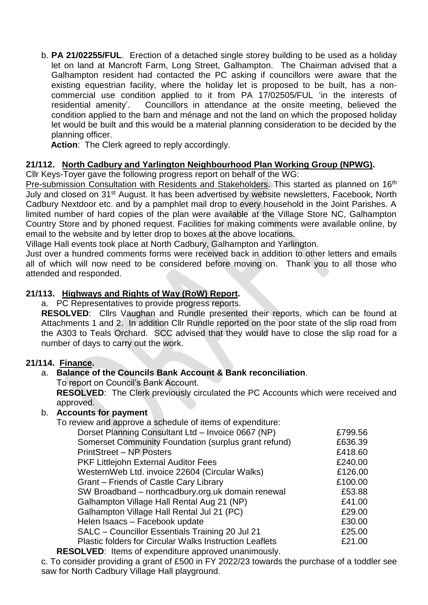b. **PA 21/02255/FUL**. Erection of a detached single storey building to be used as a holiday let on land at Mancroft Farm, Long Street, Galhampton. The Chairman advised that a Galhampton resident had contacted the PC asking if councillors were aware that the existing equestrian facility, where the holiday let is proposed to be built, has a noncommercial use condition applied to it from PA 17/02505/FUL 'in the interests of residential amenity'. Councillors in attendance at the onsite meeting, believed the condition applied to the barn and ménage and not the land on which the proposed holiday let would be built and this would be a material planning consideration to be decided by the planning officer.

Action: The Clerk agreed to reply accordingly.

#### **21/112. North Cadbury and Yarlington Neighbourhood Plan Working Group (NPWG).**

Cllr Keys-Toyer gave the following progress report on behalf of the WG:

Pre-submission Consultation with Residents and Stakeholders. This started as planned on 16<sup>th</sup> July and closed on 31st August. It has been advertised by website newsletters, Facebook, North Cadbury Nextdoor etc. and by a pamphlet mail drop to every household in the Joint Parishes. A limited number of hard copies of the plan were available at the Village Store NC, Galhampton Country Store and by phoned request. Facilities for making comments were available online, by email to the website and by letter drop to boxes at the above locations.

Village Hall events took place at North Cadbury, Galhampton and Yarlington.

Just over a hundred comments forms were received back in addition to other letters and emails all of which will now need to be considered before moving on. Thank you to all those who attended and responded.

#### **21/113. Highways and Rights of Way (RoW) Report.**

a. PC Representatives to provide progress reports.

**RESOLVED**: Cllrs Vaughan and Rundle presented their reports, which can be found at Attachments 1 and 2. In addition Cllr Rundle reported on the poor state of the slip road from the A303 to Teals Orchard. SCC advised that they would have to close the slip road for a number of days to carry out the work.

#### **21/114. Finance.**

#### a. **Balance of the Councils Bank Account & Bank reconciliation**.

To report on Council's Bank Account.

**RESOLVED**: The Clerk previously circulated the PC Accounts which were received and approved.

#### b. **Accounts for payment**

To review and approve a schedule of items of expenditure:

| Dorset Planning Consultant Ltd - Invoice 0667 (NP)      | £799.56 |
|---------------------------------------------------------|---------|
| Somerset Community Foundation (surplus grant refund)    | £636.39 |
| <b>PrintStreet – NP Posters</b>                         | £418.60 |
| <b>PKF Littlejohn External Auditor Fees</b>             | £240.00 |
| Western Web Ltd. invoice 22604 (Circular Walks)         | £126.00 |
| Grant – Friends of Castle Cary Library                  | £100.00 |
| SW Broadband – northcadbury.org.uk domain renewal       | £53.88  |
| Galhampton Village Hall Rental Aug 21 (NP)              | £41.00  |
| Galhampton Village Hall Rental Jul 21 (PC)              | £29.00  |
| Helen Isaacs - Facebook update                          | £30.00  |
| SALC - Councillor Essentials Training 20 Jul 21         | £25.00  |
| Plastic folders for Circular Walks Instruction Leaflets | £21.00  |
| ALUED. Items of overanditure conveyed unanimously       |         |

**RESOLVED**: Items of expenditure approved unanimously.

c. To consider providing a grant of £500 in FY 2022/23 towards the purchase of a toddler see saw for North Cadbury Village Hall playground.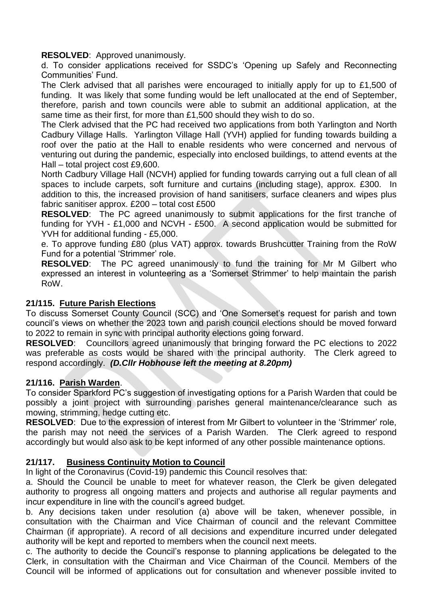**RESOLVED**: Approved unanimously.

d. To consider applications received for SSDC's 'Opening up Safely and Reconnecting Communities' Fund.

The Clerk advised that all parishes were encouraged to initially apply for up to £1,500 of funding. It was likely that some funding would be left unallocated at the end of September, therefore, parish and town councils were able to submit an additional application, at the same time as their first, for more than £1,500 should they wish to do so.

The Clerk advised that the PC had received two applications from both Yarlington and North Cadbury Village Halls. Yarlington Village Hall (YVH) applied for funding towards building a roof over the patio at the Hall to enable residents who were concerned and nervous of venturing out during the pandemic, especially into enclosed buildings, to attend events at the Hall – total project cost £9,600.

North Cadbury Village Hall (NCVH) applied for funding towards carrying out a full clean of all spaces to include carpets, soft furniture and curtains (including stage), approx. £300. In addition to this, the increased provision of hand sanitisers, surface cleaners and wipes plus fabric sanitiser approx. £200 – total cost £500

**RESOLVED**: The PC agreed unanimously to submit applications for the first tranche of funding for YVH - £1,000 and NCVH - £500. A second application would be submitted for YVH for additional funding - £5,000.

e. To approve funding £80 (plus VAT) approx. towards Brushcutter Training from the RoW Fund for a potential 'Strimmer' role.

**RESOLVED**: The PC agreed unanimously to fund the training for Mr M Gilbert who expressed an interest in volunteering as a 'Somerset Strimmer' to help maintain the parish RoW.

#### **21/115. Future Parish Elections**

To discuss Somerset County Council (SCC) and 'One Somerset's request for parish and town council's views on whether the 2023 town and parish council elections should be moved forward to 2022 to remain in sync with principal authority elections going forward.

**RESOLVED**: Councillors agreed unanimously that bringing forward the PC elections to 2022 was preferable as costs would be shared with the principal authority. The Clerk agreed to respond accordingly. *(D.Cllr Hobhouse left the meeting at 8.20pm)*

## **21/116. Parish Warden**.

To consider Sparkford PC's suggestion of investigating options for a Parish Warden that could be possibly a joint project with surrounding parishes general maintenance/clearance such as mowing, strimming, hedge cutting etc.

**RESOLVED**: Due to the expression of interest from Mr Gilbert to volunteer in the 'Strimmer' role, the parish may not need the services of a Parish Warden. The Clerk agreed to respond accordingly but would also ask to be kept informed of any other possible maintenance options.

## **21/117. Business Continuity Motion to Council**

In light of the Coronavirus (Covid-19) pandemic this Council resolves that:

a. Should the Council be unable to meet for whatever reason, the Clerk be given delegated authority to progress all ongoing matters and projects and authorise all regular payments and incur expenditure in line with the council's agreed budget.

b. Any decisions taken under resolution (a) above will be taken, whenever possible, in consultation with the Chairman and Vice Chairman of council and the relevant Committee Chairman (if appropriate). A record of all decisions and expenditure incurred under delegated authority will be kept and reported to members when the council next meets.

c. The authority to decide the Council's response to planning applications be delegated to the Clerk, in consultation with the Chairman and Vice Chairman of the Council. Members of the Council will be informed of applications out for consultation and whenever possible invited to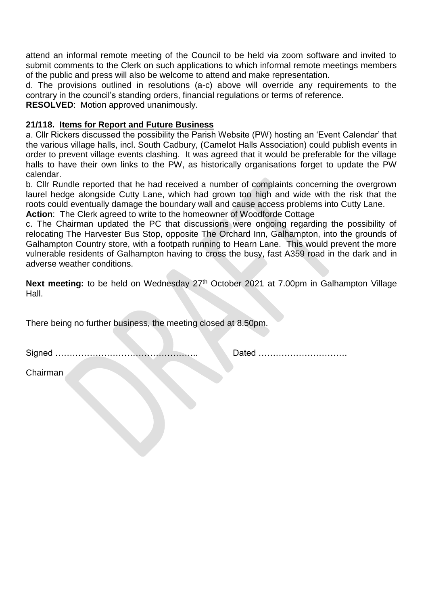attend an informal remote meeting of the Council to be held via zoom software and invited to submit comments to the Clerk on such applications to which informal remote meetings members of the public and press will also be welcome to attend and make representation.

d. The provisions outlined in resolutions (a-c) above will override any requirements to the contrary in the council's standing orders, financial regulations or terms of reference.

**RESOLVED**: Motion approved unanimously.

#### **21/118. Items for Report and Future Business**

a. Cllr Rickers discussed the possibility the Parish Website (PW) hosting an 'Event Calendar' that the various village halls, incl. South Cadbury, (Camelot Halls Association) could publish events in order to prevent village events clashing. It was agreed that it would be preferable for the village halls to have their own links to the PW, as historically organisations forget to update the PW calendar.

b. Cllr Rundle reported that he had received a number of complaints concerning the overgrown laurel hedge alongside Cutty Lane, which had grown too high and wide with the risk that the roots could eventually damage the boundary wall and cause access problems into Cutty Lane. **Action**: The Clerk agreed to write to the homeowner of Woodforde Cottage

c. The Chairman updated the PC that discussions were ongoing regarding the possibility of relocating The Harvester Bus Stop, opposite The Orchard Inn, Galhampton, into the grounds of Galhampton Country store, with a footpath running to Hearn Lane. This would prevent the more vulnerable residents of Galhampton having to cross the busy, fast A359 road in the dark and in adverse weather conditions.

Next meeting: to be held on Wednesday 27<sup>th</sup> October 2021 at 7.00pm in Galhampton Village Hall.

There being no further business, the meeting closed at 8.50pm.

Signed ………………………………………….. Dated ………………………….

Chairman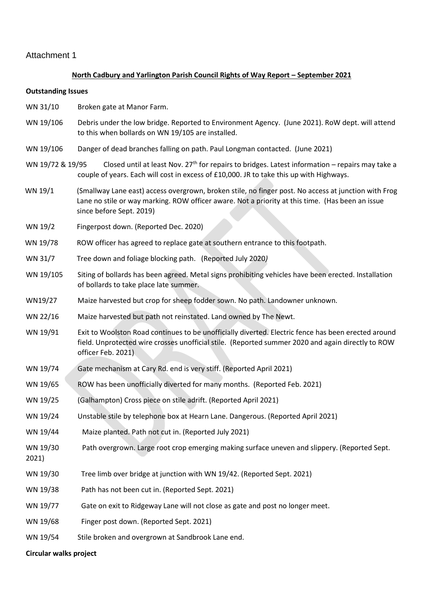#### Attachment 1

#### **North Cadbury and Yarlington Parish Council Rights of Way Report – September 2021**

#### **Outstanding Issues**

- WN 31/10 Broken gate at Manor Farm.
- WN 19/106 Debris under the low bridge. Reported to Environment Agency. (June 2021). RoW dept. will attend to this when bollards on WN 19/105 are installed.
- WN 19/106 Danger of dead branches falling on path. Paul Longman contacted. (June 2021)
- WN 19/72 & 19/95 Closed until at least Nov.  $27<sup>th</sup>$  for repairs to bridges. Latest information repairs may take a couple of years. Each will cost in excess of £10,000. JR to take this up with Highways.
- WN 19/1 (Smallway Lane east) access overgrown, broken stile, no finger post. No access at junction with Frog Lane no stile or way marking. ROW officer aware. Not a priority at this time. (Has been an issue since before Sept. 2019)
- WN 19/2 Fingerpost down. (Reported Dec. 2020)
- WN 19/78 ROW officer has agreed to replace gate at southern entrance to this footpath.
- WN 31/7 Tree down and foliage blocking path. (Reported July 2020*)*
- WN 19/105 Siting of bollards has been agreed. Metal signs prohibiting vehicles have been erected. Installation of bollards to take place late summer.
- WN19/27 Maize harvested but crop for sheep fodder sown. No path. Landowner unknown.
- WN 22/16 Maize harvested but path not reinstated. Land owned by The Newt.
- WN 19/91 Exit to Woolston Road continues to be unofficially diverted. Electric fence has been erected around field. Unprotected wire crosses unofficial stile. (Reported summer 2020 and again directly to ROW officer Feb. 2021)
- WN 19/74 Gate mechanism at Cary Rd. end is very stiff. (Reported April 2021)
- WN 19/65 ROW has been unofficially diverted for many months. (Reported Feb. 2021)
- WN 19/25 (Galhampton) Cross piece on stile adrift. (Reported April 2021)
- WN 19/24 Unstable stile by telephone box at Hearn Lane. Dangerous. (Reported April 2021)
- WN 19/44 Maize planted. Path not cut in. (Reported July 2021)
- WN 19/30 Path overgrown. Large root crop emerging making surface uneven and slippery. (Reported Sept.
- 2021)
- WN 19/30 Tree limb over bridge at junction with WN 19/42. (Reported Sept. 2021)
- WN 19/38 Path has not been cut in. (Reported Sept. 2021)
- WN 19/77 Gate on exit to Ridgeway Lane will not close as gate and post no longer meet.
- WN 19/68 Finger post down. (Reported Sept. 2021)
- WN 19/54 Stile broken and overgrown at Sandbrook Lane end.

#### **Circular walks project**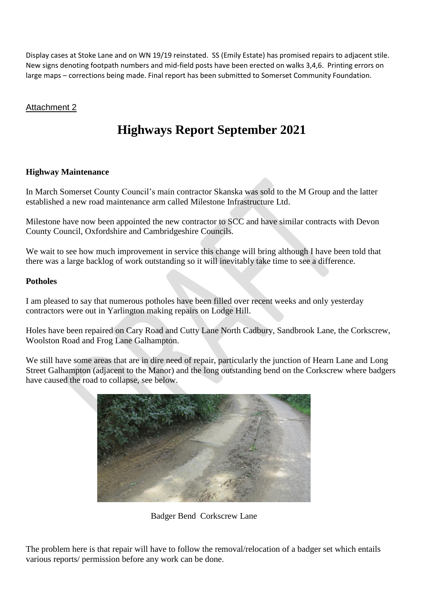Display cases at Stoke Lane and on WN 19/19 reinstated. SS (Emily Estate) has promised repairs to adjacent stile. New signs denoting footpath numbers and mid-field posts have been erected on walks 3,4,6. Printing errors on large maps – corrections being made. Final report has been submitted to Somerset Community Foundation.

## Attachment 2

## **Highways Report September 2021**

#### **Highway Maintenance**

In March Somerset County Council's main contractor Skanska was sold to the M Group and the latter established a new road maintenance arm called Milestone Infrastructure Ltd.

Milestone have now been appointed the new contractor to SCC and have similar contracts with Devon County Council, Oxfordshire and Cambridgeshire Councils.

We wait to see how much improvement in service this change will bring although I have been told that there was a large backlog of work outstanding so it will inevitably take time to see a difference.

#### **Potholes**

I am pleased to say that numerous potholes have been filled over recent weeks and only yesterday contractors were out in Yarlington making repairs on Lodge Hill.

Holes have been repaired on Cary Road and Cutty Lane North Cadbury, Sandbrook Lane, the Corkscrew, Woolston Road and Frog Lane Galhampton.

We still have some areas that are in dire need of repair, particularly the junction of Hearn Lane and Long Street Galhampton (adjacent to the Manor) and the long outstanding bend on the Corkscrew where badgers have caused the road to collapse, see below.



Badger Bend Corkscrew Lane

The problem here is that repair will have to follow the removal/relocation of a badger set which entails various reports/ permission before any work can be done.